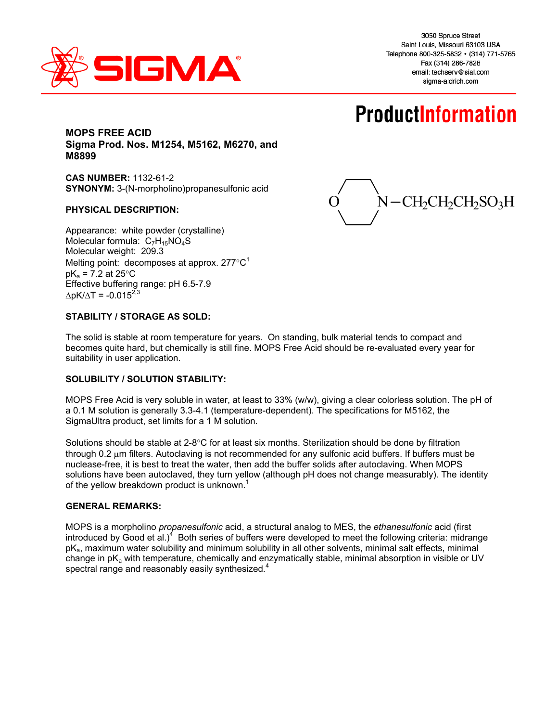

# **ProductInformation**

## **MOPS FREE ACID Sigma Prod. Nos. M1254, M5162, M6270, and M8899**

**CAS NUMBER:** 1132-61-2 **SYNONYM:** 3-(N-morpholino)propanesulfonic acid

#### **PHYSICAL DESCRIPTION:**

Appearance: white powder (crystalline) Molecular formula:  $C_7H_{15}NO_4S$ Molecular weight: 209.3 Melting point: decomposes at approx.  $277^{\circ}C^1$  $pK_a = 7.2$  at 25 $\degree$ C Effective buffering range: pH 6.5-7.9  $\Delta$ pK/ $\Delta$ T = -0.015<sup>2,3</sup>

 $N - CH_2CH_2CH_2SO_3H$ 

#### **STABILITY / STORAGE AS SOLD:**

The solid is stable at room temperature for years. On standing, bulk material tends to compact and becomes quite hard, but chemically is still fine. MOPS Free Acid should be re-evaluated every year for suitability in user application.

#### **SOLUBILITY / SOLUTION STABILITY:**

MOPS Free Acid is very soluble in water, at least to 33% (w/w), giving a clear colorless solution. The pH of a 0.1 M solution is generally 3.3-4.1 (temperature-dependent). The specifications for M5162, the SigmaUltra product, set limits for a 1 M solution.

Solutions should be stable at  $2-8^{\circ}C$  for at least six months. Sterilization should be done by filtration through  $0.2 \mu$ m filters. Autoclaving is not recommended for any sulfonic acid buffers. If buffers must be nuclease-free, it is best to treat the water, then add the buffer solids after autoclaving. When MOPS solutions have been autoclaved, they turn yellow (although pH does not change measurably). The identity of the yellow breakdown product is unknown.<sup>1</sup>

#### **GENERAL REMARKS:**

MOPS is a morpholino *propanesulfonic* acid, a structural analog to MES, the *ethanesulfonic* acid (first introduced by Good et al.)<sup>4</sup> Both series of buffers were developed to meet the following criteria: midrange pKa, maximum water solubility and minimum solubility in all other solvents, minimal salt effects, minimal change in pKa with temperature, chemically and enzymatically stable, minimal absorption in visible or UV spectral range and reasonably easily synthesized.<sup>4</sup>